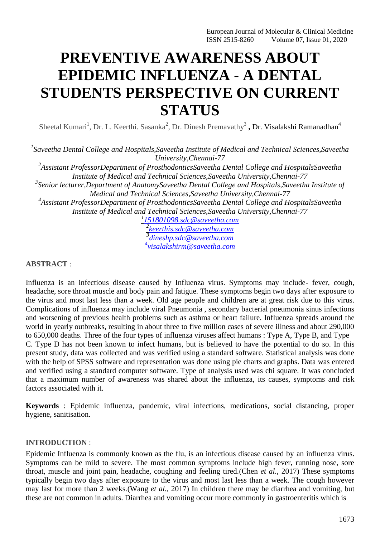# **PREVENTIVE AWARENESS ABOUT EPIDEMIC INFLUENZA - A DENTAL STUDENTS PERSPECTIVE ON CURRENT STATUS**

Sheetal Kumari<sup>1</sup>, Dr. L. Keerthi. Sasanka<sup>2</sup>, Dr. Dinesh Premavathy<sup>3</sup>, Dr. Visalakshi Ramanadhan<sup>4</sup>

*1 Saveetha Dental College and Hospitals,Saveetha Institute of Medical and Technical Sciences,Saveetha University,Chennai-77*

*2 Assistant ProfessorDepartment of ProsthodonticsSaveetha Dental College and HospitalsSaveetha Institute of Medical and Technical Sciences,Saveetha University,Chennai-77*

*3 Senior lecturer,Department of AnatomySaveetha Dental College and Hospitals,Saveetha Institute of Medical and Technical Sciences,Saveetha University,Chennai-77*

*4 Assistant ProfessorDepartment of ProsthodonticsSaveetha Dental College and HospitalsSaveetha Institute of Medical and Technical Sciences,Saveetha University,Chennai-77*

*1 [151801098.sdc@saveetha.com](mailto:151801098.sdc@saveetha.com) 2 [keerthis.sdc@saveetha.com](mailto:keerthis.sdc@saveetha.com) 3 [dineshp.sdc@saveetha.com](mailto:dineshp.sdc@saveetha.com) 4 [visalakshirm@saveetha.com](mailto:4visalakshirm@saveetha.com)*

## **ABSTRACT** :

Influenza is an infectious disease caused by Influenza virus. Symptoms may include- fever, cough, headache, sore throat muscle and body pain and fatigue. These symptoms begin two days after exposure to the virus and most last less than a week. Old age people and children are at great risk due to this virus. Complications of influenza may include viral Pneumonia , secondary bacterial pneumonia sinus infections and worsening of previous health problems such as asthma or heart failure. Influenza spreads around the world in yearly outbreaks, resulting in about three to five million cases of severe illness and about 290,000 to 650,000 deaths. Three of the four types of influenza viruses affect humans : Type A, Type B, and Type C. Type D has not been known to infect humans, but is believed to have the potential to do so. In this present study, data was collected and was verified using a standard software. Statistical analysis was done with the help of SPSS software and representation was done using pie charts and graphs. Data was entered and verified using a standard computer software. Type of analysis used was chi square. It was concluded that a maximum number of awareness was shared about the influenza, its causes, symptoms and risk factors associated with it.

**Keywords** : Epidemic influenza, pandemic, viral infections, medications, social distancing, proper hygiene, sanitisation.

## **INTRODUCTION** :

Epidemic Influenza is commonly known as the flu, is an infectious disease caused by an influenza virus. Symptoms can be mild to severe. The most common symptoms include high fever, running nose, sore throat, muscle and joint pain, headache, coughing and feeling tired.(Chen *et al.*[, 2017\)](https://paperpile.com/c/xGyk7G/izJt) These symptoms typically begin two days after exposure to the virus and most last less than a week. The cough however may last for more than 2 weeks.(Wang *et al.*[, 2017\) I](https://paperpile.com/c/xGyk7G/yL4g)n children there may be diarrhea and vomiting, but these are not common in adults. Diarrhea and vomiting occur more commonly in gastroenteritis which is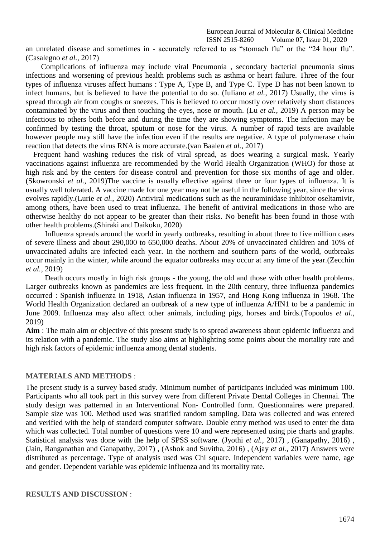European Journal of Molecular & Clinical Medicine ISSN 2515-8260 Volume 07, Issue 01, 2020

an unrelated disease and sometimes in - accurately referred to as "stomach flu" or the "24 hour flu". [\(Casalegno](https://paperpile.com/c/xGyk7G/rFpG) *et al.*, 2017)

Complications of influenza may include viral Pneumonia , secondary bacterial pneumonia sinus infections and worsening of previous health problems such as asthma or heart failure. Three of the four types of influenza viruses affect humans : Type A, Type B, and Type C. Type D has not been known to infect humans, but is believed to have the potential to do so. [\(Iuliano](https://paperpile.com/c/xGyk7G/XA9w) *et al.*, 2017) Usually, the virus is spread through air from coughs or sneezes. This is believed to occur mostly over relatively short distances contaminated by the virus and then touching the eyes, nose or mouth. (Lu *et al.*[, 2019\) A](https://paperpile.com/c/xGyk7G/Mc6g) person may be infectious to others both before and during the time they are showing symptoms. The infection may be confirmed by testing the throat, sputum or nose for the virus. A number of rapid tests are available however people may still have the infection even if the results are negative. A type of polymerase chain reaction that detects the virus RNA is more accurate[.\(van Baalen](https://paperpile.com/c/xGyk7G/6qwg) *et al.*, 2017)

Frequent hand washing reduces the risk of viral spread, as does wearing a surgical mask. Yearly vaccinations against influenza are recommended by the World Health Organization (WHO) for those at high risk and by the centers for disease control and prevention for those six months of age and older. [\(Skowronski](https://paperpile.com/c/xGyk7G/S7O2) *et al.*, 2019)The vaccine is usually effective against three or four types of influenza. It is usually well tolerated. A vaccine made for one year may not be useful in the following year, since the virus evolves rapidly.(Lurie *et al.*[, 2020\) A](https://paperpile.com/c/xGyk7G/NFa1)ntiviral medications such as the neuraminidase inhibitor oseltamivir, among others, have been used to treat influenza. The benefit of antiviral medications in those who are otherwise healthy do not appear to be greater than their risks. No benefit has been found in those with other health problems[.\(Shiraki and Daikoku,](https://paperpile.com/c/xGyk7G/IXli) 2020)

Influenza spreads around the world in yearly outbreaks, resulting in about three to five million cases of severe illness and about 290,000 to 650,000 deaths. About 20% of unvaccinated children and 10% of unvaccinated adults are infected each year. In the northern and southern parts of the world, outbreaks occur mainly in the winter, while around the equator outbreaks may occur at any time of the year[.\(Zecchin](https://paperpile.com/c/xGyk7G/4qVd) *et al.*, [2019\)](https://paperpile.com/c/xGyk7G/4qVd)

Death occurs mostly in high risk groups - the young, the old and those with other health problems. Larger outbreaks known as pandemics are less frequent. In the 20th century, three influenza pandemics occurred : Spanish influenza in 1918, Asian influenza in 1957, and Hong Kong influenza in 1968. The World Health Organization declared an outbreak of a new type of influenza A/HN1 to be a pandemic in June 2009. Influenza may also affect other animals, including pigs, horses and birds[.\(Topoulos](https://paperpile.com/c/xGyk7G/j12n) *et al.*, [2019\)](https://paperpile.com/c/xGyk7G/j12n)

**Aim** : The main aim or objective of this present study is to spread awareness about epidemic influenza and its relation with a pandemic. The study also aims at highlighting some points about the mortality rate and high risk factors of epidemic influenza among dental students.

#### **MATERIALS AND METHODS** :

The present study is a survey based study. Minimum number of participants included was minimum 100. Participants who all took part in this survey were from different Private Dental Colleges in Chennai. The study design was patterned in an Interventional Non- Controlled form. Questionnaires were prepared. Sample size was 100. Method used was stratified random sampling. Data was collected and was entered and verified with the help of standard computer software. Double entry method was used to enter the data which was collected. Total number of questions were 10 and were represented using pie charts and graphs. Statistical analysis was done with the help of SPSS software. (Jyothi *et al.*[, 2017\) ,](https://paperpile.com/c/xGyk7G/yorF) [\(Ganapathy, 2016\) ,](https://paperpile.com/c/xGyk7G/3qi5) [\(Jain, Ranganathan and Ganapathy, 2017\) ,](https://paperpile.com/c/xGyk7G/9vTg) [\(Ashok and Suvitha, 2016\) ,](https://paperpile.com/c/xGyk7G/3UTZ) (Ajay *et al.*[, 2017\) A](https://paperpile.com/c/xGyk7G/o7LP)nswers were distributed as percentage. Type of analysis used was Chi square. Independent variables were name, age and gender. Dependent variable was epidemic influenza and its mortality rate.

**RESULTS AND DISCUSSION** :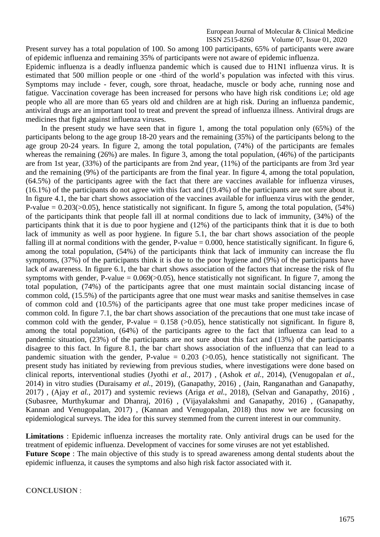Present survey has a total population of 100. So among 100 participants, 65% of participants were aware of epidemic influenza and remaining 35% of participants were not aware of epidemic influenza.

Epidemic influenza is a deadly influenza pandemic which is caused due to H1N1 influenza virus. It is estimated that 500 million people or one -third of the world's population was infected with this virus. Symptoms may include - fever, cough, sore throat, headache, muscle or body ache, running nose and fatigue. Vaccination coverage has been increased for persons who have high risk conditions i.e; old age people who all are more than 65 years old and children are at high risk. During an influenza pandemic, antiviral drugs are an important tool to treat and prevent the spread of influenza illness. Antiviral drugs are medicines that fight against influenza viruses.

In the present study we have seen that in figure 1, among the total population only (65%) of the participants belong to the age group 18-20 years and the remaining (35%) of the participants belong to the age group 20-24 years. In figure 2, among the total population, (74%) of the participants are females whereas the remaining (26%) are males. In figure 3, among the total population, (46%) of the participants are from 1st year, (33%) of the participants are from 2nd year, (11%) of the participants are from 3rd year and the remaining (9%) of the participants are from the final year. In figure 4, among the total population, (64.5%) of the participants agree with the fact that there are vaccines available for influenza viruses, (16.1%) of the participants do not agree with this fact and (19.4%) of the participants are not sure about it. In figure 4.1, the bar chart shows association of the vaccines available for influenza virus with the gender, P-value  $= 0.203 \times (0.05)$ , hence statistically not significant. In figure 5, among the total population, (54%) of the participants think that people fall ill at normal conditions due to lack of immunity, (34%) of the participants think that it is due to poor hygiene and (12%) of the participants think that it is due to both lack of immunity as well as poor hygiene. In figure 5.1, the bar chart shows association of the people falling ill at normal conditions with the gender, P-value  $= 0.000$ , hence statistically significant. In figure 6, among the total population, (54%) of the participants think that lack of immunity can increase the flu symptoms, (37%) of the participants think it is due to the poor hygiene and (9%) of the participants have lack of awareness. In figure 6.1, the bar chart shows association of the factors that increase the risk of flu symptoms with gender, P-value =  $0.069 \times 0.05$ ), hence statistically not significant. In figure 7, among the total population, (74%) of the participants agree that one must maintain social distancing incase of common cold, (15.5%) of the participants agree that one must wear masks and sanitise themselves in case of common cold and (10.5%) of the participants agree that one must take proper medicines incase of common cold. In figure 7.1, the bar chart shows association of the precautions that one must take incase of common cold with the gender, P-value =  $0.158$  ( $>0.05$ ), hence statistically not significant. In figure 8, among the total population, (64%) of the participants agree to the fact that influenza can lead to a pandemic situation, (23%) of the participants are not sure about this fact and (13%) of the participants disagree to this fact. In figure 8.1, the bar chart shows association of the influenza that can lead to a pandemic situation with the gender, P-value =  $0.203$  ( $> 0.05$ ), hence statistically not significant. The present study has initiated by reviewing from previous studies, where investigations were done based on clinical reports, interventional studies [\(Jyothi](https://paperpile.com/c/xGyk7G/yorF) *et al.*, 2017) , [\(Ashok](https://paperpile.com/c/xGyk7G/YbCK) *et al.*, 2014), [\(Venugopalan](https://paperpile.com/c/xGyk7G/gLiE) *et al.*, [2014\) i](https://paperpile.com/c/xGyk7G/gLiE)n vitro studies [\(Duraisamy](https://paperpile.com/c/xGyk7G/dO73) *et al.*, 2019), [\(Ganapathy, 2016\) ,](https://paperpile.com/c/xGyk7G/3qi5) [\(Jain, Ranganathan and Ganapathy,](https://paperpile.com/c/xGyk7G/9vTg) [2017\)](https://paperpile.com/c/xGyk7G/9vTg) , (Ajay *et al.*[, 2017\)](https://paperpile.com/c/xGyk7G/o7LP) and systemic reviews (Ariga *et al.*[, 2018\),](https://paperpile.com/c/xGyk7G/CFES) [\(Selvan and Ganapathy, 2016\)](https://paperpile.com/c/xGyk7G/ZNG4) , [\(Subasree, Murthykumar and Dhanraj, 2016\)](https://paperpile.com/c/xGyk7G/yzZj) , [\(Vijayalakshmi and Ganapathy, 2016\)](https://paperpile.com/c/xGyk7G/BRg8) , [\(Ganapathy,](https://paperpile.com/c/xGyk7G/yC6f) [Kannan and Venugopalan, 2017\)](https://paperpile.com/c/xGyk7G/yC6f) , [\(Kannan and Venugopalan, 2018\)](https://paperpile.com/c/xGyk7G/jF43) thus now we are focussing on epidemiological surveys. The idea for this survey stemmed from the current interest in our community.

**Limitations** : Epidemic influenza increases the mortality rate. Only antiviral drugs can be used for the treatment of epidemic influenza. Development of vaccines for some viruses are not yet established. **Future Scope** : The main objective of this study is to spread awareness among dental students about the epidemic influenza, it causes the symptoms and also high risk factor associated with it.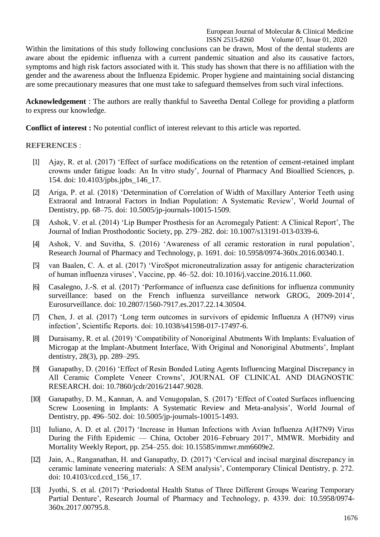Within the limitations of this study following conclusions can be drawn, Most of the dental students are aware about the epidemic influenza with a current pandemic situation and also its causative factors, symptoms and high risk factors associated with it. This study has shown that there is no affiliation with the gender and the awareness about the Influenza Epidemic. Proper hygiene and maintaining social distancing are some precautionary measures that one must take to safeguard themselves from such viral infections.

**Acknowledgement** : The authors are really thankful to Saveetha Dental College for providing a platform to express our knowledge.

**Conflict of interest :** No potential conflict of interest relevant to this article was reported.

### **REFERENCES** :

- [1] [Ajay, R. et al. \(2017\) ‗Effect of surface modifications on the retention of cement-retained implant](http://paperpile.com/b/xGyk7G/o7LP) [crowns under fatigue loads: An In vitro study', Journal of Pharmacy And Bioallied Sciences, p.](http://paperpile.com/b/xGyk7G/o7LP) [154. doi:](http://paperpile.com/b/xGyk7G/o7LP) [10.4103/jpbs.jpbs\\_146\\_17.](http://paperpile.com/b/xGyk7G/o7LP)
- [2] [Ariga, P. et al. \(2018\) ‗Determination of Correlation of Width of Maxillary Anterior Teeth using](http://paperpile.com/b/xGyk7G/CFES) [Extraoral and Intraoral Factors in Indian Population:](http://paperpile.com/b/xGyk7G/CFES) A Systematic Review', World Journal o[f](http://paperpile.com/b/xGyk7G/CFES) [Dentistry, pp. 68–75. doi: 10.5005/jp-journals-10015-1509.](http://paperpile.com/b/xGyk7G/CFES)
- [3] Ashok, V. et al. (2014) 'Lip Bumper Prosthesis for an Acromegaly Patient: A Clinical Report', The [Journal of Indian Prosthodontic Society, pp. 279–282. doi:](http://paperpile.com/b/xGyk7G/YbCK) [10.1007/s13191-013-0339-6.](http://paperpile.com/b/xGyk7G/YbCK)
- [4] [Ashok, V. and Suvitha, S. \(2016\) ‗Awareness of all ceramic restoration in rural population',](http://paperpile.com/b/xGyk7G/3UTZ) [Research Journal of Pharmacy and Technology, p. 1691. doi:](http://paperpile.com/b/xGyk7G/3UTZ) [10.5958/0974-360x.2016.00340.1](http://paperpile.com/b/xGyk7G/3UTZ)[.](http://dx.doi.org/10.5958/0974-360x.2016.00340.1)
- [5] van Baalen, C. A. et al. (2017) 'ViroSpot microneutralization assay for antigenic characterization [of human influenza viruses', Vaccine, pp. 46–52. doi: 10.1016/j.vaccine.2016.11.060](http://paperpile.com/b/xGyk7G/6qwg)[.](http://dx.doi.org/10.1016/j.vaccine.2016.11.060)
- [6] Casalegno, J.-S. et al. (2017) 'Performance of influenza case definitions for influenza community [surveillance: based on the French influenza surveillance network GROG, 2009-2014',](http://paperpile.com/b/xGyk7G/rFpG) [Eurosurveillance. doi: 10.2807/1560-7917.es.2017.22.14.30504.](http://paperpile.com/b/xGyk7G/rFpG)
- [7] [Chen, J. et al. \(2017\) ‗Long term outcomes in survivors of epidemic Influenza A \(H7N9\) virus](http://paperpile.com/b/xGyk7G/izJt) [infection', Scientific Reports. doi: 10.1038/s41598-017-17497-6.](http://paperpile.com/b/xGyk7G/izJt)
- [8] [Duraisamy, R. et al. \(2019\) ‗Compatibility of Nonoriginal Abutments With Implants: Evaluation of](http://paperpile.com/b/xGyk7G/dO73) [Microgap at the Implant-Abutment Interface, With Original and Nonoriginal Abutments', Implant](http://paperpile.com/b/xGyk7G/dO73) [dentistry, 28\(3\), pp.](http://paperpile.com/b/xGyk7G/dO73) 289–295.
- [9] [Ganapathy, D. \(2016\) ‗Effect of Resin Bonded Luting Agents Influencing Marginal Discrepancy in](http://paperpile.com/b/xGyk7G/3qi5) [All Ceramic Complete Veneer Crowns', JOURNAL OF CLINICAL AND DIAGNOSTIC](http://paperpile.com/b/xGyk7G/3qi5) [RESEARCH. doi:](http://paperpile.com/b/xGyk7G/3qi5) [10.7860/jcdr/2016/21447.9028.](http://paperpile.com/b/xGyk7G/3qi5)
- [10] [Ganapathy, D. M., Kannan, A. and Venugopalan, S. \(2017\) ‗Effect of Coated Surfaces influencing](http://paperpile.com/b/xGyk7G/yC6f) [Screw Loosening in Implants: A Systematic Review and Meta-analysis', World Journal of](http://paperpile.com/b/xGyk7G/yC6f) [Dentistry, pp. 496–502. doi: 10.5005/jp-journals-10015-1493.](http://paperpile.com/b/xGyk7G/yC6f)
- [11] Iuliano, A. D. et al. (2017) 'Increase in Human Infections with Avian Influenza A(H7N9) Virus During the Fifth Epidemic — [China, October 2016–February 2017', MMWR. Morbidity and](http://paperpile.com/b/xGyk7G/XA9w) [Mortality Weekly Report, pp. 254–255. doi:](http://paperpile.com/b/xGyk7G/XA9w) [10.15585/mmwr.mm6609e2.](http://paperpile.com/b/xGyk7G/XA9w)
- [12] Jain, A., Ranganathan, H. and Ganapathy, D. (2017) 'Cervical and incisal marginal discrepancy in [ceramic laminate veneering materials: A SEM analysis', Contemporary Clinical Dentistry, p. 272.](http://paperpile.com/b/xGyk7G/9vTg) [doi:](http://paperpile.com/b/xGyk7G/9vTg) [10.4103/ccd.ccd\\_156\\_17.](http://paperpile.com/b/xGyk7G/9vTg)
- [13] Jyothi, S. et al. (2017) 'Periodontal Health Status of Three Different Groups Wearing Temporary [Partial Denture', Research Journal of Pharmacy and Technology, p. 4339. doi:](http://paperpile.com/b/xGyk7G/yorF) [10.5958/0974-](http://dx.doi.org/10.5958/0974-360x.2017.00795.8) [360x.2017.00795.8.](http://dx.doi.org/10.5958/0974-360x.2017.00795.8)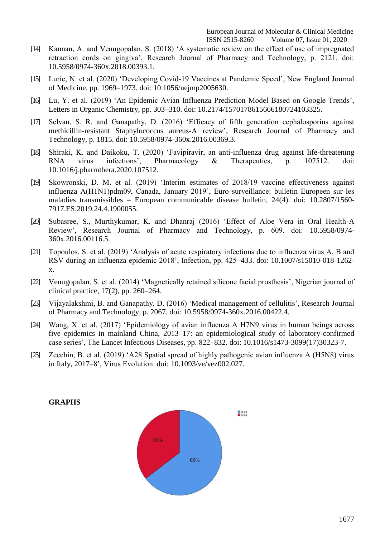- [14] [Kannan, A. and Venugopalan, S. \(2018\) ‗A systematic review on the effect of use of impregnated](http://paperpile.com/b/xGyk7G/jF43) [retraction cords on gingiva', Research Journal of Pharmacy and Technology, p. 2121. doi:](http://paperpile.com/b/xGyk7G/jF43) [10.5958/0974-360x.2018.00393.1.](http://dx.doi.org/10.5958/0974-360x.2018.00393.1)
- [15] Lurie, N. et al. (2020) 'Developing Covid-19 Vaccines at Pandemic Speed', New England Journal [of Medicine, pp. 1969–1973. doi:](http://paperpile.com/b/xGyk7G/NFa1) [10.1056/nejmp2005630](http://paperpile.com/b/xGyk7G/NFa1)[.](http://dx.doi.org/10.1056/nejmp2005630)
- [16] Lu, Y. et al. (2019) 'An Epidemic Avian Influenza Prediction Model Based on Google Trends', [Letters in Organic Chemistry, pp. 303–310. doi:](http://paperpile.com/b/xGyk7G/Mc6g) [10.2174/1570178615666180724103325](http://paperpile.com/b/xGyk7G/Mc6g)[.](http://dx.doi.org/10.2174/1570178615666180724103325)
- [17] Selvan, S. R. and Ganapathy, D. (2016) 'Efficacy of fifth generation cephalosporins against [methicillin-resistant Staphylococcus aureus-A review', Research Journal of Pharmacy and](http://paperpile.com/b/xGyk7G/ZNG4) [Technology, p. 1815. doi: 10.5958/0974-360x.2016.00369.3.](http://paperpile.com/b/xGyk7G/ZNG4)
- [18] [Shiraki, K. and Daikoku, T. \(2020\) ‗Favipiravir, an anti-influenza drug against life-threatening](http://paperpile.com/b/xGyk7G/IXli) [RNA virus infections', Pharmacology & Therapeutics, p. 107512. doi:](http://paperpile.com/b/xGyk7G/IXli) [10.1016/j.pharmthera.2020.107512.](http://dx.doi.org/10.1016/j.pharmthera.2020.107512)
- [19] Skowronski, D. M. et al. (2019) 'Interim estimates of 2018/19 vaccine effectiveness against [influenza A\(H1N1\)pdm09, Canada, January 2019', Euro surveillance: bulletin Europeen sur les](http://paperpile.com/b/xGyk7G/S7O2) [maladies transmissibles = European communicable disease bulletin, 24\(4\). doi:](http://paperpile.com/b/xGyk7G/S7O2) [10.2807/1560-](http://paperpile.com/b/xGyk7G/S7O2) [7917.ES.2019.24.4.1900055.](http://dx.doi.org/10.2807/1560-7917.ES.2019.24.4.1900055)
- [20] Subasree, S., Murthykumar, K. and Dhanraj (2016) 'Effect of Aloe Vera in Oral Health-A [Review', Research Journal of Pharmacy and Technology, p. 609. doi:](http://paperpile.com/b/xGyk7G/yzZj) [10.5958/0974-](http://dx.doi.org/10.5958/0974-360x.2016.00116.5) [360x.2016.00116.5.](http://dx.doi.org/10.5958/0974-360x.2016.00116.5)
- [21] [Topoulos, S. et al. \(2019\) ‗Analysis of acute respiratory infections due to influenza virus A, B and](http://paperpile.com/b/xGyk7G/j12n) [RSV during an influenza epidemic 2018', Infection, pp. 425–433. doi: 10.1007/s15010-018-1262](http://paperpile.com/b/xGyk7G/j12n) [x](http://dx.doi.org/10.1007/s15010-018-1262-x)[.](http://paperpile.com/b/xGyk7G/j12n)
- [22] Venugopalan, S. et al. (2014) 'Magnetically retained silicone facial prosthesis', Nigerian journal of [clinical practice, 17\(2\), pp.](http://paperpile.com/b/xGyk7G/gLiE) 260–264.
- [23] Vijayalakshmi, B. and Ganapathy, D. (2016) 'Medical management of cellulitis', Research Journal [of Pharmacy and Technology, p. 2067. doi:](http://paperpile.com/b/xGyk7G/BRg8) [10.5958/0974-360x.2016.00422.4](http://paperpile.com/b/xGyk7G/BRg8)[.](http://dx.doi.org/10.5958/0974-360x.2016.00422.4)
- [24] Wang, X, et al. (2017) 'Epidemiology of avian influenza A H7N9 virus in human beings across [five epidemics in mainland China, 2013–17: an epidemiological study of laboratory-confirmed](http://paperpile.com/b/xGyk7G/yL4g) [case series', The Lancet Infectious Diseases, pp. 822–832. doi:](http://paperpile.com/b/xGyk7G/yL4g) [10.1016/s1473-3099\(17\)30323-7.](http://paperpile.com/b/xGyk7G/yL4g)
- [25] Zecchin, B. et al. (2019) 'A28 Spatial spread of highly pathogenic avian influenza A (H5N8) virus [in Italy, 2017–8', Virus Evolution. doi:](http://paperpile.com/b/xGyk7G/4qVd) [10.1093/ve/vez002.027](http://paperpile.com/b/xGyk7G/4qVd)[.](http://dx.doi.org/10.1093/ve/vez002.027)

#### **GRAPHS**

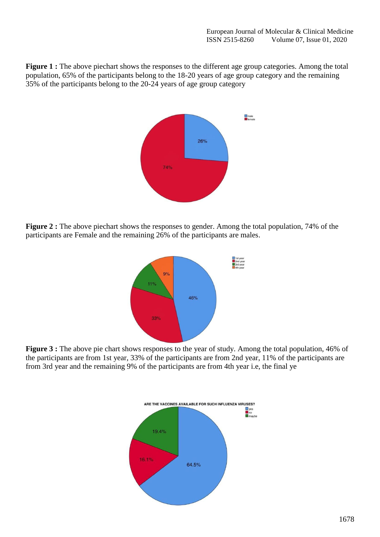**Figure 1 :** The above piechart shows the responses to the different age group categories. Among the total population, 65% of the participants belong to the 18-20 years of age group category and the remaining 35% of the participants belong to the 20-24 years of age group category



**Figure 2 :** The above piechart shows the responses to gender. Among the total population, 74% of the participants are Female and the remaining 26% of the participants are males.



Figure 3 : The above pie chart shows responses to the year of study. Among the total population, 46% of the participants are from 1st year, 33% of the participants are from 2nd year, 11% of the participants are from 3rd year and the remaining 9% of the participants are from 4th year i.e, the final ye

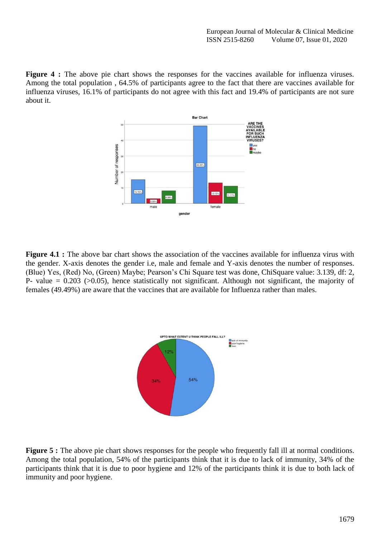Figure 4 : The above pie chart shows the responses for the vaccines available for influenza viruses. Among the total population , 64.5% of participants agree to the fact that there are vaccines available for influenza viruses, 16.1% of participants do not agree with this fact and 19.4% of participants are not sure about it.



**Figure 4.1 :** The above bar chart shows the association of the vaccines available for influenza virus with the gender. X-axis denotes the gender i.e, male and female and Y-axis denotes the number of responses. (Blue) Yes, (Red) No, (Green) Maybe; Pearson's Chi Square test was done, ChiSquare value: 3.139, df: 2, P- value  $= 0.203$  ( $> 0.05$ ), hence statistically not significant. Although not significant, the majority of females (49.49%) are aware that the vaccines that are available for Influenza rather than males.



**Figure 5 :** The above pie chart shows responses for the people who frequently fall ill at normal conditions. Among the total population, 54% of the participants think that it is due to lack of immunity, 34% of the participants think that it is due to poor hygiene and 12% of the participants think it is due to both lack of immunity and poor hygiene.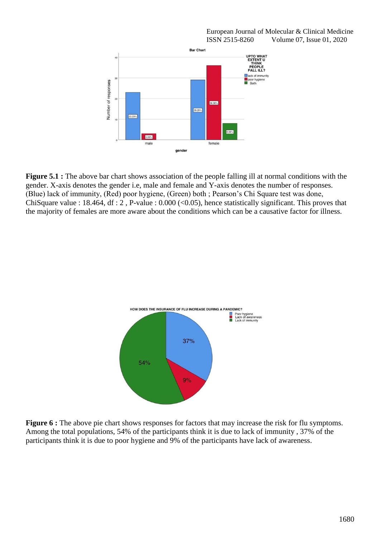

**Figure 5.1 :** The above bar chart shows association of the people falling ill at normal conditions with the gender. X-axis denotes the gender i.e, male and female and Y-axis denotes the number of responses. (Blue) lack of immunity, (Red) poor hygiene, (Green) both ; Pearson's Chi Square test was done, ChiSquare value : 18.464, df : 2 , P-value : 0.000 (<0.05), hence statistically significant. This proves that the majority of females are more aware about the conditions which can be a causative factor for illness.



**Figure 6 :** The above pie chart shows responses for factors that may increase the risk for flu symptoms. Among the total populations, 54% of the participants think it is due to lack of immunity , 37% of the participants think it is due to poor hygiene and 9% of the participants have lack of awareness.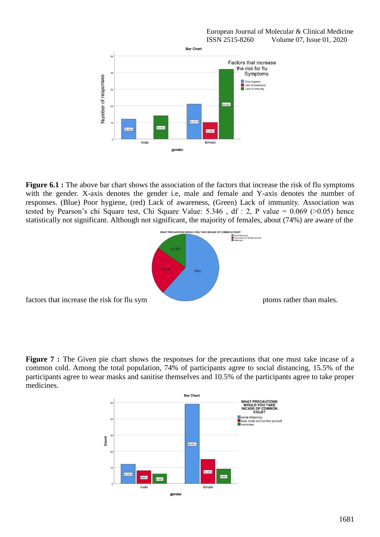

**Figure 6.1 :** The above bar chart shows the association of the factors that increase the risk of flu symptoms with the gender. X-axis denotes the gender i.e, male and female and Y-axis denotes the number of responses. (Blue) Poor hygiene, (red) Lack of awareness, (Green) Lack of immunity. Association was tested by Pearson's chi Square test, Chi Square Value: 5.346 , df : 2, P value = 0.069 (>0.05) hence statistically not significant. Although not significant, the majority of females, about (74%) are aware of the



**Figure 7 :** The Given pie chart shows the responses for the precautions that one must take incase of a common cold. Among the total population, 74% of participants agree to social distancing, 15.5% of the participants agree to wear masks and sanitise themselves and 10.5% of the participants agree to take proper medicines.